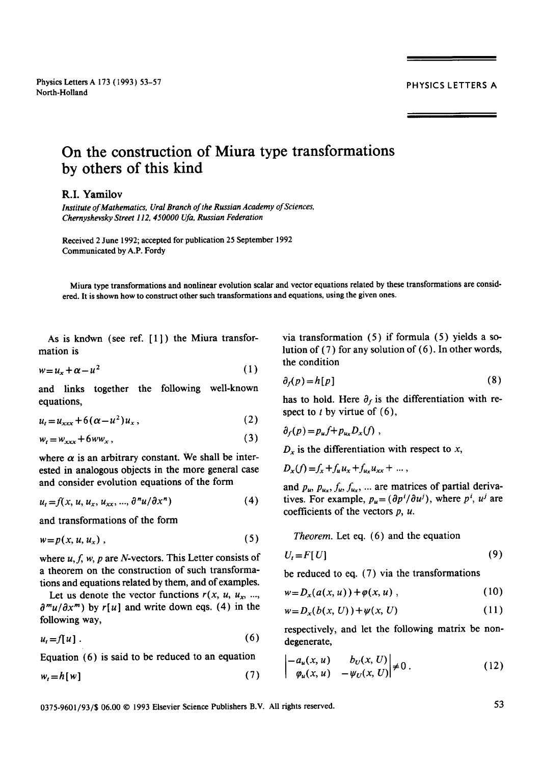## PHYSICS LETTERS A

## **On the construction of Miura type transformations by others of this kind**

## **R.I.** Yamilov

*Institute of Mathematics, Ural Branch of the Russian Academy of Sciences, Chernyshevsky Street 11Z 450000 Ufa, Russian Federation* 

Received 2 June 1992; accepted for publication 25 September 1992 Communicated by A.P. Fordy

Miura type transformations and nonlinear evolution scalar and vector equations related by these transformations are considered. It is shown how to construct other such transformations and equations, using the given ones.

As is known (see ref.  $[1]$ ) the Miura transformation is

$$
w = u_x + \alpha - u^2 \tag{1}
$$

and links together the following well-known equations,

$$
u_t = u_{xxx} + 6(\alpha - u^2)u_x, \qquad (2)
$$

$$
w_t = w_{xxx} + 6ww_x, \tag{3}
$$

where  $\alpha$  is an arbitrary constant. We shall be interested in analogous objects in the more general case and consider evolution equations of the form

$$
u_t = f(x, u, u_x, u_{xx}, ..., \partial^n u / \partial x^n)
$$
 (4)

and transformations of the form

$$
w = p(x, u, u_x), \tag{5}
$$

where  $u, f, w, p$  are N-vectors. This Letter consists of a theorem on the construction of such transformations and equations related by them, and of examples.

Let us denote the vector functions  $r(x, u, u_x, ...$  $\frac{\partial^{m} u}{\partial x^{m}}$  by  $r[u]$  and write down eqs. (4) in the following way,

$$
u_t = f[u]. \tag{6}
$$

Equation (6) is said to be reduced to an equation

 $w_t = h[w]$  (7)

via transformation (5) if formula (5) yields a solution of (7) for any solution of (6). In other words, the condition

$$
\partial_f(p) = h[p] \tag{8}
$$

has to hold. Here  $\partial_f$  is the differentiation with respect to  $t$  by virtue of  $(6)$ ,

$$
\partial_f(p) = p_u f + p_{u_x} D_x(f) ,
$$

 $D_x$  is the differentiation with respect to x,

 $D_x(f) = f_x + f_u u_x + f_{u_x} u_{xx} + \dots$ 

and  $p_u$ ,  $p_{u_x}, f_u, f_{u_x}, \dots$  are matrices of partial derivatives. For example,  $p_u = (\partial p^i / \partial u^j)$ , where  $p^i$ ,  $u^j$  are coefficients of the vectors  $p$ ,  $u$ .

*Theorem.* Let eq. (6) and the equation

$$
U_t = F[U] \tag{9}
$$

be reduced to eq. (7) via the transformations

$$
w = D_x(a(x, u)) + \varphi(x, u) , \qquad (10)
$$

$$
w = D_x(b(x, U)) + \psi(x, U) \tag{11}
$$

respectively, and let the following matrix be nondegenerate,

$$
\begin{vmatrix} -a_u(x, u) & b_U(x, U) \\ \varphi_u(x, u) & -\psi_U(x, U) \end{vmatrix} \neq 0.
$$
 (12)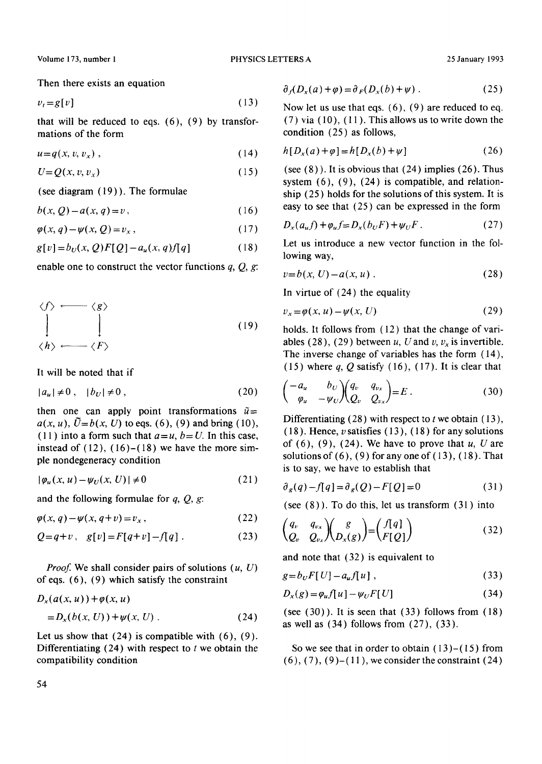Then there exists an equation

$$
v_t = g[v] \tag{13}
$$

that will be reduced to eqs. (6), (9) by transfor mations of the form

$$
u=q(x, v, v_x), \qquad (14)
$$

$$
U = Q(x, v, v_x) \tag{15}
$$

(see diagram (19) ). The formulae

$$
b(x, Q) - a(x, q) = v, \qquad (16)
$$

$$
\varphi(x,q) - \psi(x,Q) = v_x, \qquad (17)
$$

$$
g[v] = b_U(x, Q)F[Q] - a_u(x, q)f[q] \tag{18}
$$

enable one to construct the vector functions  $q, Q, g$ :

$$
\begin{array}{ccc}\n\langle f \rangle & \longleftarrow & \langle g \rangle \\
\downarrow & & \downarrow \\
\langle h \rangle & \longleftarrow & \langle F \rangle\n\end{array} \tag{19}
$$

**It will be noted that if** 

$$
|a_u| \neq 0, \quad |b_U| \neq 0,
$$
\n
$$
(20)
$$

then one can apply point transformations  $\tilde{u}$ =  $a(x, u)$ ,  $\tilde{U} = b(x, U)$  to eqs. (6), (9) and bring (10), (11) into a form such that  $a=u, b=U$ . In this case, instead of  $(12)$ ,  $(16)-(18)$  we have the more simple nondegeneracy condition

$$
|\varphi_u(x, u) - \psi_v(x, U)| \neq 0
$$
\n(21)

and the following formulae for  $q$ ,  $Q$ ,  $g$ .

$$
\varphi(x,q) - \psi(x,q+v) = v_x, \qquad (22)
$$

$$
Q = q + v, \quad g[v] = F[q + v] - f[q]. \tag{23}
$$

*Proof.* We shall consider pairs of solutions  $(u, U)$ of eqs. (6), (9) which satisfy the constraint

$$
D_x(a(x, u)) + \varphi(x, u)
$$
  
= 
$$
D_x(b(x, U)) + \psi(x, U)
$$
. (24)

Let us show that  $(24)$  is compatible with  $(6)$ ,  $(9)$ . Differentiating  $(24)$  with respect to t we obtain the compatibility condition

$$
\partial_f (D_x(a) + \varphi) = \partial_F (D_x(b) + \psi) \tag{25}
$$

Now let us use that eqs. (6), (9) are reduced to eq.  $(7)$  via  $(10)$ ,  $(11)$ . This allows us to write down the condition (25) as follows,

$$
h[D_x(a) + \varphi] = h[D_x(b) + \psi]
$$
\n(26)

(see  $(8)$ ). It is obvious that  $(24)$  implies  $(26)$ . Thus system  $(6)$ ,  $(9)$ ,  $(24)$  is compatible, and relationship (25 ) holds for the solutions of this system. It is easy to see that (25) can be expressed in the form

$$
D_x(a_u f) + \varphi_u f = D_x(b_U F) + \psi_U F \,.
$$
 (27)

Let us introduce a new vector function in the following way,

$$
v = b(x, U) - a(x, u) \tag{28}
$$

In virtue of (24) the equality

$$
v_x = \varphi(x, u) - \psi(x, U) \tag{29}
$$

holds. It follows from (12) that the change of variables (28), (29) between u, U and v,  $v_x$  is invertible. The inverse change of variables has the form (14), (15) where  $q$ ,  $Q$  satisfy (16), (17). It is clear that

$$
\begin{pmatrix} -a_u & b_U \\ \varphi_u & -\psi_U \end{pmatrix} \begin{pmatrix} q_v & q_{v_x} \\ Q_v & Q_{v_x} \end{pmatrix} = E \ . \tag{30}
$$

Differentiating  $(28)$  with respect to t we obtain  $(13)$ , (18). Hence,  $\nu$  satisfies (13), (18) for any solutions of  $(6)$ ,  $(9)$ ,  $(24)$ . We have to prove that u, U are solutions of  $(6)$ ,  $(9)$  for any one of  $(13)$ ,  $(18)$ . That is to say, we have to establish that

$$
\partial_g(q) - f[q] = \partial_g(Q) - F[Q] = 0 \tag{31}
$$

(see  $(8)$ ). To do this, let us transform  $(31)$  into

$$
\begin{pmatrix} q_v & q_{v_x} \\ Q_v & Q_{v_x} \end{pmatrix} \begin{pmatrix} g \\ D_x(g) \end{pmatrix} = \begin{pmatrix} f[q] \\ F[Q] \end{pmatrix}
$$
 (32)

and note that (32) is equivalent to

$$
g = b_U F[U] - a_u f[u], \qquad (33)
$$

$$
D_x(g) = \varphi_u f[u] - \psi_U F[U] \tag{34}
$$

(see  $(30)$ ). It is seen that  $(33)$  follows from  $(18)$ as well as  $(34)$  follows from  $(27)$ ,  $(33)$ .

So we see that in order to obtain  $(13)-(15)$  from  $(6)$ ,  $(7)$ ,  $(9)$ – $(11)$ , we consider the constraint  $(24)$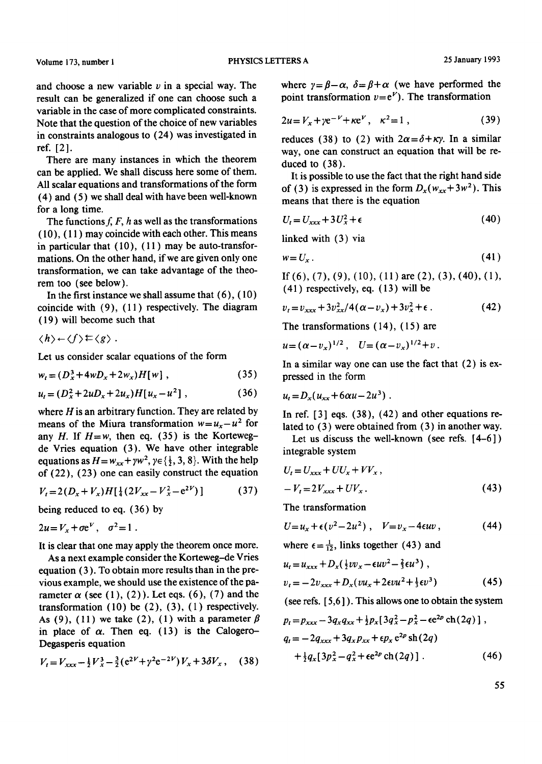and choose a new variable  $\nu$  in a special way. The result can be generalized if one can choose such a variable in the case of more complicated constraints. Note that the question of the choice of new variables in constraints analogous to (24) was investigated in ref. [2].

There are many instances in which the theorem can be applied. We shall discuss here some of them. All scalar equations and transformations of the form (4) and (5) we shall deal with have been well-known for a long time.

The functions  $f, F, h$  as well as the transformations (10), ( 11 ) may coincide with each other. This means in particular that  $(10)$ ,  $(11)$  may be auto-transformations. On the other hand, if we are given only one transformation, we can take advantage of the theorem too (see below).

In the first instance we shall assume that  $(6)$ ,  $(10)$ coincide with (9), ( 11 ) respectively. The diagram (19) will become such that

 $\langle h \rangle \leftarrow \langle f \rangle \mathrel{\succeq} \langle g \rangle$ .

Let us consider scalar equations of the form

$$
w_t = (D_x^3 + 4wD_x + 2w_x)H[w],
$$
 (35)

$$
u_t = (D_x^2 + 2uD_x + 2u_x)H[u_x - u^2], \qquad (36)
$$

where  $H$  is an arbitrary function. They are related by means of the Miura transformation  $w = u_x - u^2$  for any *H*. If  $H = w$ , then eq. (35) is the Kortewegde Vries equation (3). We have other integrable equations as  $H = w_{xx} + \gamma w^2$ ,  $\gamma \in \{\frac{1}{2}, 3, 8\}$ . With the help of (22), (23) one can easily construct the equation

$$
V_t = 2(D_x + V_x)H\left[\frac{1}{4}(2V_{xx} - V_x^2 - e^{2V})\right]
$$
 (37)

being reduced to eq. (36) by

$$
2u = V_x + \sigma e^V, \quad \sigma^2 = 1.
$$

It is clear that one may apply the theorem once more.

As a next example consider the Korteweg-de Vries equation (3). To obtain more results than in the previous example, we should use the existence of the parameter  $\alpha$  (see (1), (2)). Let eqs. (6), (7) and the transformation  $(10)$  be  $(2)$ ,  $(3)$ ,  $(1)$  respectively. As (9), (11) we take (2), (1) with a parameter  $\beta$ in place of  $\alpha$ . Then eq. (13) is the Calogero-Degasperis equation

$$
V_t = V_{xxx} - \frac{1}{2}V_x^3 - \frac{3}{2}(e^{2V} + \gamma^2 e^{-2V})V_x + 3\delta V_x, \quad (38)
$$

where  $y = \beta - \alpha$ ,  $\delta = \beta + \alpha$  (we have performed the point transformation  $v=e^V$ ). The transformation

$$
2u = V_x + \gamma e^{-V} + \kappa e^V, \quad \kappa^2 = 1 \tag{39}
$$

reduces (38) to (2) with  $2\alpha = \delta + \kappa \gamma$ . In a similar way, one can construct an equation that will be reduced to (38).

It is possible to use the fact that the right hand side of (3) is expressed in the form  $D_x(w_{xx}+3w^2)$ . This means that there is the equation

$$
U_t = U_{xxx} + 3U_x^2 + \epsilon \tag{40}
$$

linked with (3) via

$$
w = U_x \tag{41}
$$

If (6), (7), (9), (10), (11) are (2), (3), (40), (1),  $(41)$  respectively, eq.  $(13)$  will be

$$
v_t = v_{xxx} + 3v_{xx}^2/4(\alpha - v_x) + 3v_x^2 + \epsilon. \tag{42}
$$

The transformations  $(14)$ ,  $(15)$  are

 $u=(\alpha-v_{r})^{1/2}$ ,  $U=(\alpha-v_{r})^{1/2}+v$ .

In a similar way one can use the fact that (2) is expressed in the form

$$
u_t = D_x(u_{xx} + 6\alpha u - 2u^3) \ .
$$

In ref.  $[3]$  eqs.  $(38)$ ,  $(42)$  and other equations related to (3) were obtained from (3) in another way.

Let us discuss the well-known (see refs.  $[4-6]$ ) integrable system

$$
U_t = U_{xxx} + UU_x + VV_x,
$$
  

$$
-V_t = 2V_{xxx} + UV_x.
$$
 (43)

The transformation

$$
U=u_x+\epsilon(v^2-2u^2)\ ,\quad V=v_x-4\epsilon uv\ ,\qquad \qquad (44)
$$

where  $\epsilon = \frac{1}{12}$ , links together (43) and

$$
u_t = u_{xxx} + D_x(\frac{1}{2}vv_x - \epsilon uv^2 - \frac{2}{3}\epsilon u^3),
$$
  

$$
v_t = -2v_{xxx} + D_x(vu_x + 2\epsilon vu^2 + \frac{1}{3}\epsilon v^3)
$$
 (45)

(see refs. [ 5,6 ] ). This allows one to obtain the system

$$
p_t = p_{xxx} - 3q_x q_{xx} + \frac{1}{2} p_x [3q_x^2 - p_x^2 - \epsilon e^{2p} \text{ ch}(2q)] ,
$$
  
\n
$$
q_t = -2q_{xxx} + 3q_x p_{xx} + \epsilon p_x \epsilon^{2p} \text{ sh}(2q) + \frac{1}{2} q_x [3p_x^2 - q_x^2 + \epsilon e^{2p} \text{ ch}(2q)] .
$$
\n(46)

55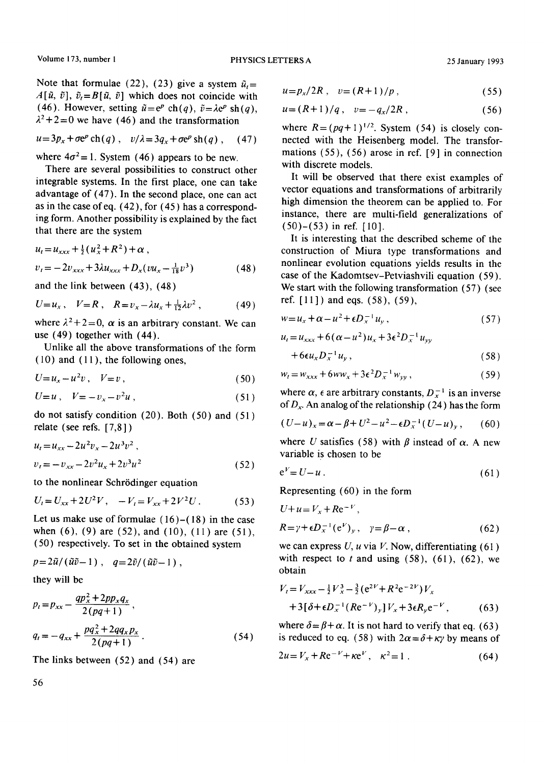Note that formulae (22), (23) give a system  $\tilde{u}$ =  $A[\tilde{u}, \tilde{v}], \tilde{v}_t = B[\tilde{u}, \tilde{v}]$  which does not coincide with (46). However, setting  $\tilde{u} = e^p \operatorname{ch}(q)$ ,  $\tilde{v} = \lambda e^p \operatorname{sh}(q)$ ,  $\lambda^2$ +2=0 we have (46) and the transformation

$$
u = 3p_x + \sigma e^p \operatorname{ch}(q) , \quad v/\lambda = 3q_x + \sigma e^p \operatorname{sh}(q) , \quad (47)
$$

where  $4\sigma^2 = 1$ . System (46) appears to be new.

There are several possibilities to construct other integrable systems. In the first place, one can take advantage of (47). In the second place, one can act as in the case of eq.  $(42)$ , for  $(45)$  has a corresponding form. Another possibility is explained by the fact that there are the system

$$
u_t = u_{xxx} + \frac{1}{2} (u_x^2 + R^2) + \alpha ,
$$
  

$$
v_t = -2v_{xxx} + 3\lambda u_{xxx} + D_x (vu_x - \frac{1}{18}v^3)
$$
 (48)

and the link between (43), (48)

$$
U = u_x, \quad V = R, \quad R = v_x - \lambda u_x + \frac{1}{12} \lambda v^2 \,, \tag{49}
$$

where  $\lambda^2 + 2 = 0$ ,  $\alpha$  is an arbitrary constant. We can use (49) together with (44).

Unlike all the above transformations of the form (10) and ( 11 ), the following ones,

$$
U=u_x-u^2v\,,\quad V=v\,,\tag{50}
$$

$$
U=u\,,\quad V=-v_x-v^2u\,,\tag{51}
$$

do not satisfy condition (20). Both (50) and (51) relate (see refs. [7,8] )

$$
u_t = u_{xx} - 2u^2v_x - 2u^3v^2,
$$
  
\n
$$
v_t = -v_{xx} - 2v^2u_x + 2v^3u^2
$$
\n(52)

to the nonlinear Schrödinger equation

$$
U_t = U_{xx} + 2U^2V, \quad -V_t = V_{xx} + 2V^2U. \tag{53}
$$

Let us make use of formulae  $(16)$ – $(18)$  in the case when  $(6)$ ,  $(9)$  are  $(52)$ , and  $(10)$ ,  $(11)$  are  $(51)$ , (50) respectively. To set in the obtained system

$$
p=2\tilde{u}/(\tilde{u}\tilde{v}-1), q=2\tilde{v}/(\tilde{u}\tilde{v}-1),
$$
  
they will be

$$
p_t = p_{xx} - \frac{qp_x^2 + 2pp_x q_x}{2(pq+1)},
$$
  
\n
$$
q_t = -q_{xx} + \frac{pq_x^2 + 2qq_x p_x}{2(pq+1)}.
$$
\n(54)

The links between (52) and (54) are

56

$$
u = p_x / 2R \,, \quad v = (R+1)/p \,, \tag{55}
$$

$$
u = (R+1)/q \,, \quad v = -q_x/2R \,, \tag{56}
$$

where  $R = (pq+1)^{1/2}$ . System (54) is closely connected with the Heisenberg model. The transformations (55), (56) arose in ref. [9] in connection with discrete models.

It will be observed that there exist examples of vector equations and transformations of arbitrarily high dimension the theorem can be applied to. For instance, there are multi-field generalizations of (50)-(53) in ref. [10].

It is interesting that the described scheme of the construction of Miura type transformations and nonlinear evolution equations yields results in the case of the Kadomtsev-Petviashvili equation (59). We start with the following transformation (57) (see ref. [11]) and eqs. (58), (59),

$$
w = u_x + \alpha - u^2 + \epsilon D_x^{-1} u_y, \qquad (57)
$$

$$
u_t = u_{xxx} + 6(\alpha - u^2)u_x + 3\epsilon^2 D_x^{-1}u_{yy}
$$

$$
+6\epsilon u_x D_x^{-1} u_y, \t\t(58)
$$

$$
w_t = w_{xxx} + 6ww_x + 3\epsilon^2 D_x^{-1} w_{yy}, \qquad (59)
$$

where  $\alpha$ ,  $\epsilon$  are arbitrary constants,  $D_x^{-1}$  is an inverse *of Dx.* An analog of the relationship (24) has the form

$$
(U-u)_x = \alpha - \beta + U^2 - u^2 - \epsilon D_x^{-1} (U - u)_y, \qquad (60)
$$

where U satisfies (58) with  $\beta$  instead of  $\alpha$ . A new variable is chosen to be

$$
e^V = U - u \tag{61}
$$

Representing (60) in the form

$$
U+u=V_x+Re^{-V},
$$
  
\n
$$
R=\gamma+\epsilon D_x^{-1}(e^V)_y, \quad \gamma=\beta-\alpha,
$$
 (62)

we can express  $U$ ,  $u$  via  $V$ . Now, differentiating (61) with respect to  $t$  and using  $(58)$ ,  $(61)$ ,  $(62)$ , we obtain

$$
V_t = V_{xxx} - \frac{1}{2} V_x^3 - \frac{3}{2} (e^{2V} + R^2 e^{-2V}) V_x
$$
  
+ 3[\delta + \epsilon D\_x^{-1} (Re^{-V})\_y] V\_x + 3\epsilon R\_y e^{-V}, (63)

where  $\delta = \beta + \alpha$ . It is not hard to verify that eq. (63) is reduced to eq. (58) with  $2\alpha = \delta + \kappa \gamma$  by means of

$$
2u = V_x + Re^{-V} + \kappa e^V, \quad \kappa^2 = 1 \tag{64}
$$